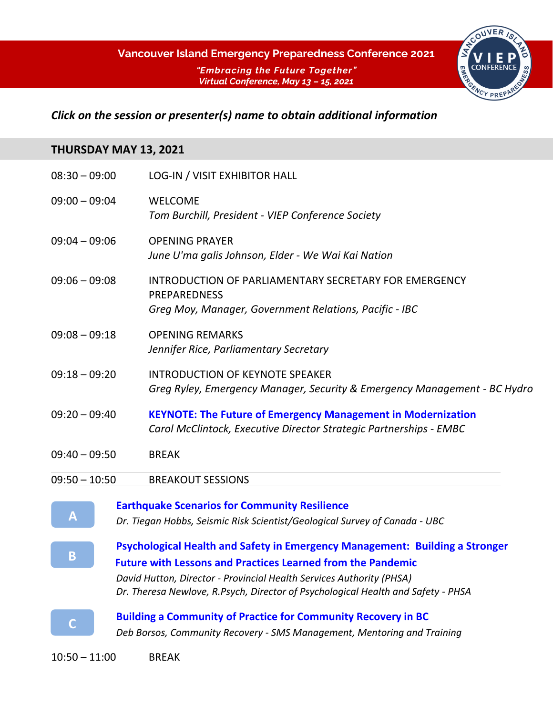

## *Click on the session or presenter(s) name to obtain additional information*

### **THURSDAY MAY 13, 2021**

| $08:30 - 09:00$ | <b>LOG-IN / VISIT EXHIBITOR HALL</b>                                                                                                      |
|-----------------|-------------------------------------------------------------------------------------------------------------------------------------------|
| $09:00 - 09:04$ | <b>WELCOME</b><br>Tom Burchill, President - VIEP Conference Society                                                                       |
| $09:04 - 09:06$ | <b>OPENING PRAYER</b><br>June U'ma galis Johnson, Elder - We Wai Kai Nation                                                               |
| $09:06 - 09:08$ | INTRODUCTION OF PARLIAMENTARY SECRETARY FOR EMERGENCY<br><b>PREPAREDNESS</b><br>Greg Moy, Manager, Government Relations, Pacific - IBC    |
| $09:08 - 09:18$ | <b>OPENING REMARKS</b><br>Jennifer Rice, Parliamentary Secretary                                                                          |
| $09:18 - 09:20$ | <b>INTRODUCTION OF KEYNOTE SPEAKER</b><br>Greg Ryley, Emergency Manager, Security & Emergency Management - BC Hydro                       |
| $09:20 - 09:40$ | <b>KEYNOTE: The Future of Emergency Management in Modernization</b><br>Carol McClintock, Executive Director Strategic Partnerships - EMBC |
| $09:40 - 09:50$ | <b>BREAK</b>                                                                                                                              |
| $09:50 - 10:50$ | <b>BREAKOUT SESSIONS</b>                                                                                                                  |
|                 | <b>Earthquake Scenarios for Community Resilience</b>                                                                                      |
| Α               | Dr. Tiegan Hobbs, Seismic Risk Scientist/Geological Survey of Canada - UBC                                                                |
|                 | Psychological Health and Safety in Emergency Management: Building a Stronger                                                              |
| B               | <b>Future with Lessons and Practices Learned from the Pandemic</b>                                                                        |
|                 | David Hutton, Director - Provincial Health Services Authority (PHSA)                                                                      |

*[Dr. Theresa Newlove, R.Psych, Director of Psychological Health and Safety -](https://www.viepconference.ca/program-b) PHSA*



**[Building a Community of Practice for Community Recovery in BC](https://www.viepconference.ca/program-c)** *Deb Borsos, Community Recovery - [SMS Management, Mentoring and Training](https://www.viepconference.ca/program-c)*

10:50 – 11:00 BREAK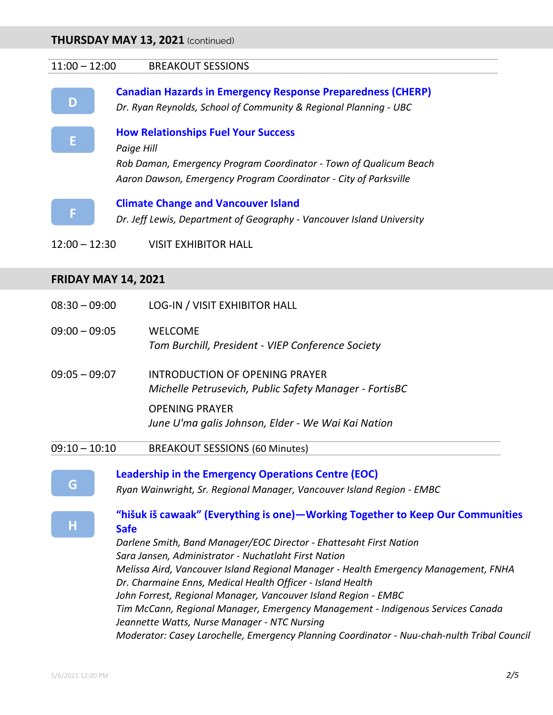#### 11:00 – 12:00 BREAKOUT SESSIONS



**[Canadian Hazards in Emergency Response Preparedness \(CHERP\)](https://www.viepconference.ca/program-d)**

*Dr. Ryan Reynolds, [School of Community & Regional P](https://www.viepconference.ca/program-d)lanning - UBC*



**[How Relationships Fuel Your Success](https://www.viepconference.ca/program-e)**

*[Paige Hill](https://www.viepconference.ca/program-e)*

*[Rob Daman, Emergency Program Coordinator](https://www.viepconference.ca/program-e) - Town of Qualicum Beach [Aaron Dawson, Emergency Program Coordinator](https://www.viepconference.ca/program-e) - City of Parksville*



**[Climate Change and Vancouver Island](https://www.viepconference.ca/program-f)** *Dr. Jeff Lewis, Department of Geography - [Vancouver Island University](https://www.viepconference.ca/program-f)*

12:00 – 12:30 VISIT EXHIBITOR HALL

#### **FRIDAY MAY 14, 2021**

|               | <b>OPENING PRAYER</b><br>June U'ma galis Johnson, Elder - We Wai Kai Nation                     |
|---------------|-------------------------------------------------------------------------------------------------|
| 09:05 — 09:07 | <b>INTRODUCTION OF OPENING PRAYER</b><br>Michelle Petrusevich, Public Safety Manager - FortisBC |
| 09:00 - 09:05 | <b>WELCOME</b><br>Tom Burchill, President - VIEP Conference Society                             |
| 08:30 - 09:00 | <b>LOG-IN / VISIT EXHIBITOR HALL</b>                                                            |

09:10 – 10:10 BREAKOUT SESSIONS (60 Minutes)

**[Leadership in the Emergency Operations Centre \(EOC\)](https://www.viepconference.ca/program-g)**

*[Ryan Wainwright, Sr. Regional Manager, Vancouver Island Region -](https://www.viepconference.ca/program-g) EMBC*

| "hišuk iš cawaak" (Everything is one)—Working Together to Keep Our Communities |  |
|--------------------------------------------------------------------------------|--|
| <b>Safe</b>                                                                    |  |

*[Darlene Smith, Band Manager/EOC Director -](https://www.viepconference.ca/program-h) Ehattesaht First Nation [Sara Jansen, Administrator -](https://www.viepconference.ca/program-h) Nuchatlaht First Nation Melissa Aird, Vancouver Island Regional Manager - [Health Emergency Management, FNHA](https://www.viepconference.ca/program-h) [Dr. Charmaine Enns, Medical Health Officer -](https://www.viepconference.ca/program-h) Island Health [John Forrest, Regional Manager, Vancouver Island Region -](https://www.viepconference.ca/program-h) EMBC [Tim McCann, Regional Manager, Emergency Management -](https://www.viepconference.ca/program-h) Indigenous Services Canada [Jeannette Watts, Nurse Manager -](https://www.viepconference.ca/program-h) NTC Nursing [Moderator: Casey Larochelle, Emergency Planning Coordinator -](https://www.viepconference.ca/program-h) Nuu-chah-nulth Tribal Council*

**[G](https://www.viepconference.ca/program-g)**

**[H](https://www.viepconference.ca/program-h)**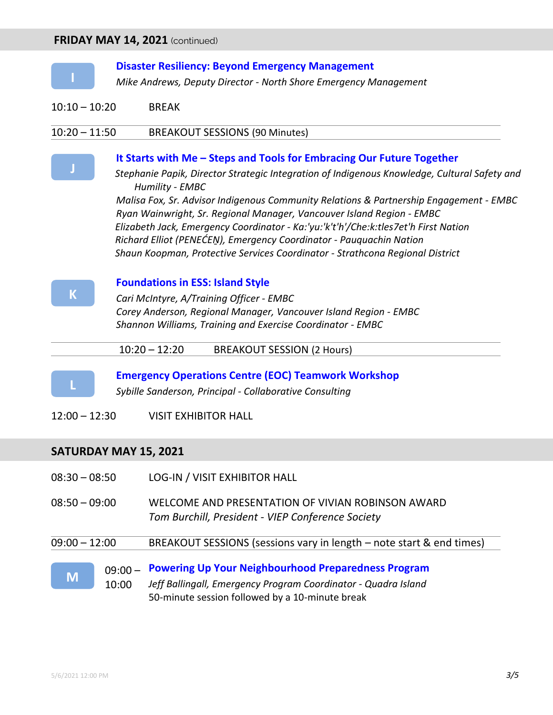#### **FRIDAY MAY 14, 2021** (continued)

#### **[Disaster Resiliency: Beyond Emergency Management](https://www.viepconference.ca/program-i)**

*Mike Andrews, Deputy Director - [North Shore Emergency Management](https://www.viepconference.ca/program-i)*

10:10 – 10:20 BREAK

#### 10:20 – 11:50 BREAKOUT SESSIONS (90 Minutes)



**[I](https://www.viepconference.ca/program-i)**

#### **It Starts with Me – [Steps and Tools for Embracing Our Future Together](https://www.viepconference.ca/program-j)**

*[Stephanie Papik, Director Strategic Integration of Indigenous Knowledge, Cultural Safety and](https://www.viepconference.ca/program-j)  [Humility -](https://www.viepconference.ca/program-j) EMBC*

*Malisa Fox, Sr. [Advisor Indigenous Community Relations & Partnership Engagement](https://www.viepconference.ca/program-j) - EMBC Ryan Wainwright, Sr. Regional Manager, [Vancouver Island Region -](https://www.viepconference.ca/program-j) EMBC Elizabeth Jack, Emergency Coordinator - [Ka:'yu:'k't'h'/Che:k:tles7et'h First](https://www.viepconference.ca/program-j) Nation Richard Elliot (PENEĆEṈ[\), Emergency Coordinator -](https://www.viepconference.ca/program-j) Pauquachin Nation Shaun Koopman, [Protective Services Coordinator -](https://www.viepconference.ca/program-j) Strathcona Regional District*



#### **[Foundations in ESS: Island Style](https://www.viepconference.ca/program-k)**

*Cari McIntyre, [A/Training Officer -](https://www.viepconference.ca/program-k) EMBC [Corey Anderson, Regional Manager, Vancouver Island Region -](https://www.viepconference.ca/program-k) EMBC [Shannon Williams, Training and Exercise Coordinator -](https://www.viepconference.ca/program-k) EMBC*

10:20 – 12:20 BREAKOUT SESSION (2 Hours)



**[Emergency Operations Centre \(EOC\) Teamwork Workshop](https://www.viepconference.ca/program-l)** *[Sybille Sanderson, Principal](https://www.viepconference.ca/program-l) - Collaborative Consulting*

12:00 – 12:30 VISIT EXHIBITOR HALL

#### **SATURDAY MAY 15, 2021**

|                 |           | 50-minute session followed by a 10-minute break                                                        |
|-----------------|-----------|--------------------------------------------------------------------------------------------------------|
| M               | 10:00     | Jeff Ballingall, Emergency Program Coordinator - Quadra Island                                         |
|                 | $09:00 -$ | <b>Powering Up Your Neighbourhood Preparedness Program</b>                                             |
| $09:00 - 12:00$ |           | BREAKOUT SESSIONS (sessions vary in length – note start & end times)                                   |
| $08:50 - 09:00$ |           | WELCOME AND PRESENTATION OF VIVIAN ROBINSON AWARD<br>Tom Burchill, President - VIEP Conference Society |
| $08:30 - 08:50$ |           | <b>LOG-IN / VISIT EXHIBITOR HALL</b>                                                                   |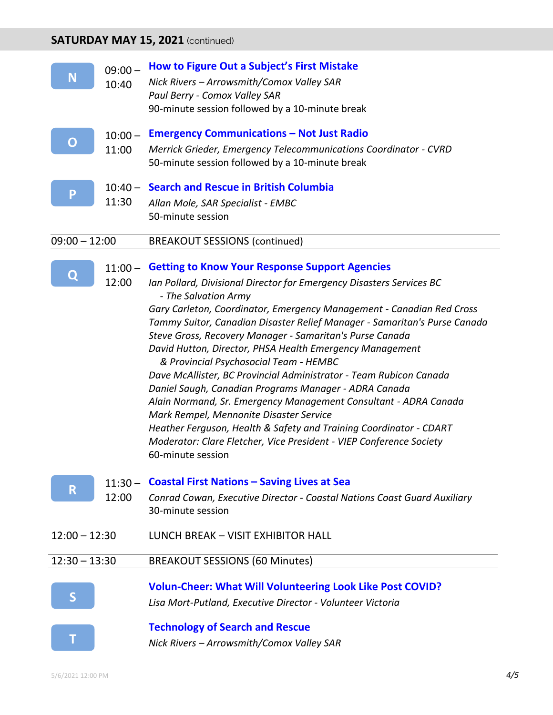# **SATURDAY MAY 15, 2021** (continued)

| N               | $09:00 -$<br>10:40 | How to Figure Out a Subject's First Mistake<br>Nick Rivers - Arrowsmith/Comox Valley SAR<br>Paul Berry - Comox Valley SAR<br>90-minute session followed by a 10-minute break                                                                                                                                                                                                                                                                                                                                                                                                                                                                                                                                                                                                                                                                                                                   |
|-----------------|--------------------|------------------------------------------------------------------------------------------------------------------------------------------------------------------------------------------------------------------------------------------------------------------------------------------------------------------------------------------------------------------------------------------------------------------------------------------------------------------------------------------------------------------------------------------------------------------------------------------------------------------------------------------------------------------------------------------------------------------------------------------------------------------------------------------------------------------------------------------------------------------------------------------------|
| O               | $10:00 -$<br>11:00 | <b>Emergency Communications - Not Just Radio</b><br>Merrick Grieder, Emergency Telecommunications Coordinator - CVRD<br>50-minute session followed by a 10-minute break                                                                                                                                                                                                                                                                                                                                                                                                                                                                                                                                                                                                                                                                                                                        |
| P               | 11:30              | 10:40 - Search and Rescue in British Columbia<br>Allan Mole, SAR Specialist - EMBC<br>50-minute session                                                                                                                                                                                                                                                                                                                                                                                                                                                                                                                                                                                                                                                                                                                                                                                        |
| $09:00 - 12:00$ |                    | <b>BREAKOUT SESSIONS (continued)</b>                                                                                                                                                                                                                                                                                                                                                                                                                                                                                                                                                                                                                                                                                                                                                                                                                                                           |
| Q               | 12:00              | 11:00 - Getting to Know Your Response Support Agencies<br>Ian Pollard, Divisional Director for Emergency Disasters Services BC<br>- The Salvation Army<br>Gary Carleton, Coordinator, Emergency Management - Canadian Red Cross<br>Tammy Suitor, Canadian Disaster Relief Manager - Samaritan's Purse Canada<br>Steve Gross, Recovery Manager - Samaritan's Purse Canada<br>David Hutton, Director, PHSA Health Emergency Management<br>& Provincial Psychosocial Team - HEMBC<br>Dave McAllister, BC Provincial Administrator - Team Rubicon Canada<br>Daniel Saugh, Canadian Programs Manager - ADRA Canada<br>Alain Normand, Sr. Emergency Management Consultant - ADRA Canada<br>Mark Rempel, Mennonite Disaster Service<br>Heather Ferguson, Health & Safety and Training Coordinator - CDART<br>Moderator: Clare Fletcher, Vice President - VIEP Conference Society<br>60-minute session |
| R               | 12:00              | $11:30 -$ Coastal First Nations – Saving Lives at Sea<br>Conrad Cowan, Executive Director - Coastal Nations Coast Guard Auxiliary<br>30-minute session                                                                                                                                                                                                                                                                                                                                                                                                                                                                                                                                                                                                                                                                                                                                         |
| $12:00 - 12:30$ |                    | LUNCH BREAK - VISIT EXHIBITOR HALL                                                                                                                                                                                                                                                                                                                                                                                                                                                                                                                                                                                                                                                                                                                                                                                                                                                             |
| $12:30 - 13:30$ |                    | <b>BREAKOUT SESSIONS (60 Minutes)</b>                                                                                                                                                                                                                                                                                                                                                                                                                                                                                                                                                                                                                                                                                                                                                                                                                                                          |
|                 |                    | <b>Volun-Cheer: What Will Volunteering Look Like Post COVID?</b><br>Lisa Mort-Putland, Executive Director - Volunteer Victoria                                                                                                                                                                                                                                                                                                                                                                                                                                                                                                                                                                                                                                                                                                                                                                 |
|                 |                    | <b>Technology of Search and Rescue</b><br>Nick Rivers - Arrowsmith/Comox Valley SAR                                                                                                                                                                                                                                                                                                                                                                                                                                                                                                                                                                                                                                                                                                                                                                                                            |